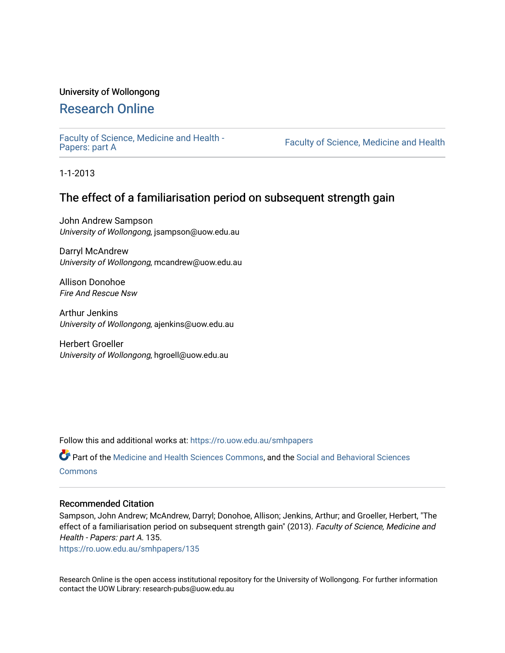## University of Wollongong

## [Research Online](https://ro.uow.edu.au/)

[Faculty of Science, Medicine and Health -](https://ro.uow.edu.au/smhpapers) Papers: part A

Faculty of Science, Medicine and Health

1-1-2013

## The effect of a familiarisation period on subsequent strength gain

John Andrew Sampson University of Wollongong, jsampson@uow.edu.au

Darryl McAndrew University of Wollongong, mcandrew@uow.edu.au

Allison Donohoe Fire And Rescue Nsw

Arthur Jenkins University of Wollongong, ajenkins@uow.edu.au

Herbert Groeller University of Wollongong, hgroell@uow.edu.au

Follow this and additional works at: [https://ro.uow.edu.au/smhpapers](https://ro.uow.edu.au/smhpapers?utm_source=ro.uow.edu.au%2Fsmhpapers%2F135&utm_medium=PDF&utm_campaign=PDFCoverPages) 

Part of the [Medicine and Health Sciences Commons,](http://network.bepress.com/hgg/discipline/648?utm_source=ro.uow.edu.au%2Fsmhpapers%2F135&utm_medium=PDF&utm_campaign=PDFCoverPages) and the [Social and Behavioral Sciences](http://network.bepress.com/hgg/discipline/316?utm_source=ro.uow.edu.au%2Fsmhpapers%2F135&utm_medium=PDF&utm_campaign=PDFCoverPages) **[Commons](http://network.bepress.com/hgg/discipline/316?utm_source=ro.uow.edu.au%2Fsmhpapers%2F135&utm_medium=PDF&utm_campaign=PDFCoverPages)** 

#### Recommended Citation

Sampson, John Andrew; McAndrew, Darryl; Donohoe, Allison; Jenkins, Arthur; and Groeller, Herbert, "The effect of a familiarisation period on subsequent strength gain" (2013). Faculty of Science, Medicine and Health - Papers: part A. 135.

[https://ro.uow.edu.au/smhpapers/135](https://ro.uow.edu.au/smhpapers/135?utm_source=ro.uow.edu.au%2Fsmhpapers%2F135&utm_medium=PDF&utm_campaign=PDFCoverPages) 

Research Online is the open access institutional repository for the University of Wollongong. For further information contact the UOW Library: research-pubs@uow.edu.au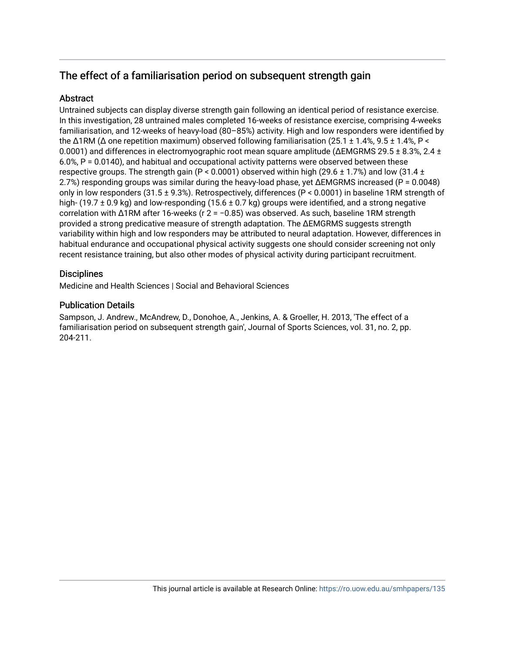# The effect of a familiarisation period on subsequent strength gain

## **Abstract**

Untrained subjects can display diverse strength gain following an identical period of resistance exercise. In this investigation, 28 untrained males completed 16-weeks of resistance exercise, comprising 4-weeks familiarisation, and 12-weeks of heavy-load (80–85%) activity. High and low responders were identified by the  $\Delta$ 1RM ( $\Delta$  one repetition maximum) observed following familiarisation (25.1 ± 1.4%, 9.5 ± 1.4%, P < 0.0001) and differences in electromyographic root mean square amplitude ( $\Delta$ EMGRMS 29.5 ± 8.3%, 2.4 ± 6.0%, P = 0.0140), and habitual and occupational activity patterns were observed between these respective groups. The strength gain (P < 0.0001) observed within high (29.6  $\pm$  1.7%) and low (31.4  $\pm$ 2.7%) responding groups was similar during the heavy-load phase, yet ΔEMGRMS increased (P = 0.0048) only in low responders (31.5 ± 9.3%). Retrospectively, differences (P < 0.0001) in baseline 1RM strength of high- (19.7 ± 0.9 kg) and low-responding (15.6 ± 0.7 kg) groups were identified, and a strong negative correlation with Δ1RM after 16-weeks (r 2 = −0.85) was observed. As such, baseline 1RM strength provided a strong predicative measure of strength adaptation. The ΔEMGRMS suggests strength variability within high and low responders may be attributed to neural adaptation. However, differences in habitual endurance and occupational physical activity suggests one should consider screening not only recent resistance training, but also other modes of physical activity during participant recruitment.

## **Disciplines**

Medicine and Health Sciences | Social and Behavioral Sciences

### Publication Details

Sampson, J. Andrew., McAndrew, D., Donohoe, A., Jenkins, A. & Groeller, H. 2013, 'The effect of a familiarisation period on subsequent strength gain', Journal of Sports Sciences, vol. 31, no. 2, pp. 204-211.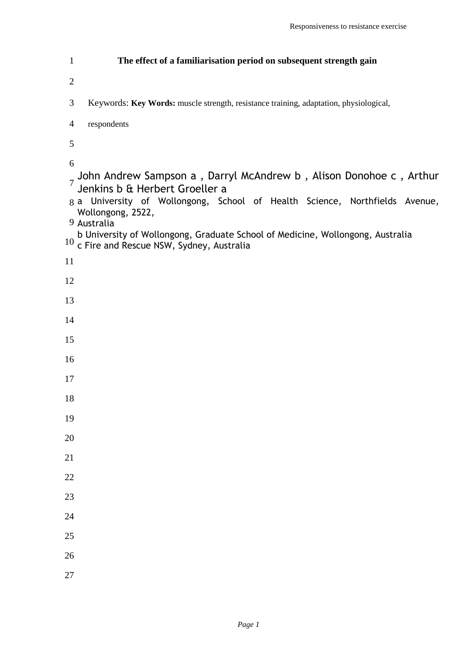| $\mathbf{1}$        | The effect of a familiarisation period on subsequent strength gain                                                                                                                                                                                                                                                                                         |
|---------------------|------------------------------------------------------------------------------------------------------------------------------------------------------------------------------------------------------------------------------------------------------------------------------------------------------------------------------------------------------------|
| $\overline{2}$      |                                                                                                                                                                                                                                                                                                                                                            |
| 3                   | Keywords: Key Words: muscle strength, resistance training, adaptation, physiological,                                                                                                                                                                                                                                                                      |
| $\overline{4}$      | respondents                                                                                                                                                                                                                                                                                                                                                |
| 5                   |                                                                                                                                                                                                                                                                                                                                                            |
| 6<br>$\overline{7}$ | John Andrew Sampson a, Darryl McAndrew b, Alison Donohoe c, Arthur<br>Jenkins b & Herbert Groeller a<br>8 a University of Wollongong, School of Health Science, Northfields Avenue,<br>Wollongong, 2522,<br>9 Australia<br>b University of Wollongong, Graduate School of Medicine, Wollongong, Australia<br>$10$ c Fire and Rescue NSW, Sydney, Australia |
| 11                  |                                                                                                                                                                                                                                                                                                                                                            |
| 12                  |                                                                                                                                                                                                                                                                                                                                                            |
| 13                  |                                                                                                                                                                                                                                                                                                                                                            |
| 14                  |                                                                                                                                                                                                                                                                                                                                                            |
| 15                  |                                                                                                                                                                                                                                                                                                                                                            |
| 16                  |                                                                                                                                                                                                                                                                                                                                                            |
| 17                  |                                                                                                                                                                                                                                                                                                                                                            |
| 18                  |                                                                                                                                                                                                                                                                                                                                                            |
| 19                  |                                                                                                                                                                                                                                                                                                                                                            |
| 20                  |                                                                                                                                                                                                                                                                                                                                                            |
| 21                  |                                                                                                                                                                                                                                                                                                                                                            |
| 22                  |                                                                                                                                                                                                                                                                                                                                                            |
| 23                  |                                                                                                                                                                                                                                                                                                                                                            |
| 24                  |                                                                                                                                                                                                                                                                                                                                                            |
| 25                  |                                                                                                                                                                                                                                                                                                                                                            |
| 26                  |                                                                                                                                                                                                                                                                                                                                                            |
| 27                  |                                                                                                                                                                                                                                                                                                                                                            |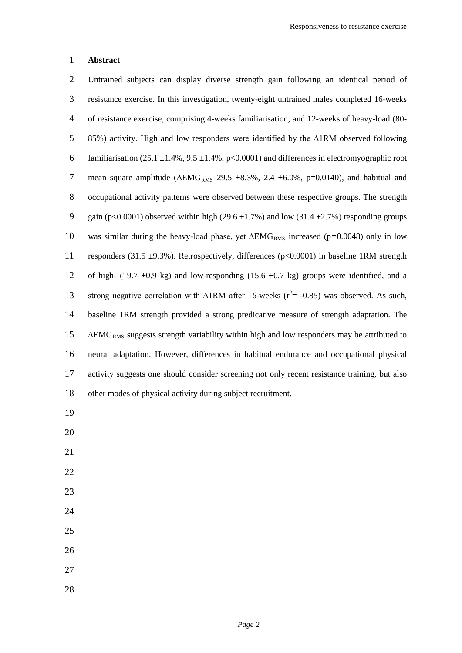#### **Abstract**

 Untrained subjects can display diverse strength gain following an identical period of resistance exercise. In this investigation, twenty-eight untrained males completed 16-weeks of resistance exercise, comprising 4-weeks familiarisation, and 12-weeks of heavy-load (80- 85%) activity. High and low responders were identified by the ∆1RM observed following 6 familiarisation (25.1  $\pm$ 1.4%, 9.5  $\pm$ 1.4%, p<0.0001) and differences in electromyographic root 7 mean square amplitude ( $\triangle EMG_{RMS}$  29.5 ±8.3%, 2.4 ±6.0%, p=0.0140), and habitual and occupational activity patterns were observed between these respective groups. The strength 9 gain (p<0.0001) observed within high (29.6  $\pm$ 1.7%) and low (31.4  $\pm$ 2.7%) responding groups was similar during the heavy-load phase, yet ∆EMGRMS increased (p*=*0.0048) only in low 11 responders (31.5  $\pm$ 9.3%). Retrospectively, differences (p<0.0001) in baseline 1RM strength 12 of high- (19.7  $\pm$ 0.9 kg) and low-responding (15.6  $\pm$ 0.7 kg) groups were identified, and a 13 strong negative correlation with  $Δ1RM$  after 16-weeks ( $r^2 = -0.85$ ) was observed. As such, baseline 1RM strength provided a strong predicative measure of strength adaptation. The ∆EMG<sub>RMS</sub> suggests strength variability within high and low responders may be attributed to neural adaptation. However, differences in habitual endurance and occupational physical activity suggests one should consider screening not only recent resistance training, but also other modes of physical activity during subject recruitment.

- 
- 
- 
- 
- 
- 
- 
- 
- 
-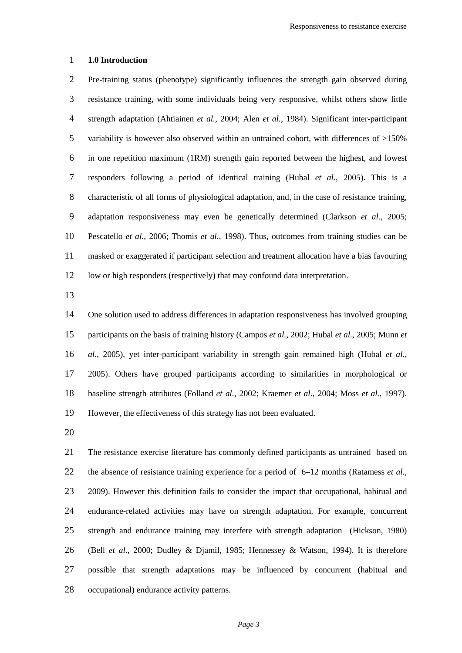#### **1.0 Introduction**

 Pre-training status (phenotype) significantly influences the strength gain observed during resistance training, with some individuals being very responsive, whilst others show little strength adaptation (Ahtiainen *et al.*, 2004; Alen *et al.*, 1984). Significant inter-participant variability is however also observed within an untrained cohort, with differences of >150% in one repetition maximum (1RM) strength gain reported between the highest, and lowest responders following a period of identical training (Hubal *et al.*, 2005). This is a characteristic of all forms of physiological adaptation, and, in the case of resistance training, adaptation responsiveness may even be genetically determined (Clarkson *et al.*, 2005; Pescatello *et al.*, 2006; Thomis *et al.*, 1998). Thus, outcomes from training studies can be masked or exaggerated if participant selection and treatment allocation have a bias favouring low or high responders (respectively) that may confound data interpretation.

 One solution used to address differences in adaptation responsiveness has involved grouping participants on the basis of training history (Campos *et al.*, 2002; Hubal *et al.*, 2005; Munn *et al.*, 2005), yet inter-participant variability in strength gain remained high (Hubal *et al.*, 2005). Others have grouped participants according to similarities in morphological or baseline strength attributes (Folland *et al.*, 2002; Kraemer *et al.*, 2004; Moss *et al.*, 1997). However, the effectiveness of this strategy has not been evaluated.

 The resistance exercise literature has commonly defined participants as untrained based on the absence of resistance training experience for a period of 6–12 months (Ratamess *et al.*, 23 2009). However this definition fails to consider the impact that occupational, habitual and endurance-related activities may have on strength adaptation. For example, concurrent strength and endurance training may interfere with strength adaptation (Hickson, 1980) (Bell *et al.*, 2000; Dudley & Djamil, 1985; Hennessey & Watson, 1994). It is therefore possible that strength adaptations may be influenced by concurrent (habitual and occupational) endurance activity patterns.

*Page 3*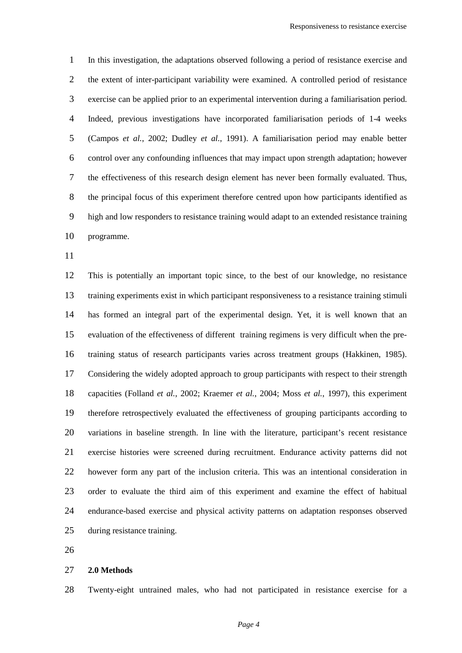In this investigation, the adaptations observed following a period of resistance exercise and the extent of inter-participant variability were examined. A controlled period of resistance exercise can be applied prior to an experimental intervention during a familiarisation period. Indeed, previous investigations have incorporated familiarisation periods of 1-4 weeks (Campos *et al.*, 2002; Dudley *et al.*, 1991). A familiarisation period may enable better control over any confounding influences that may impact upon strength adaptation; however the effectiveness of this research design element has never been formally evaluated. Thus, the principal focus of this experiment therefore centred upon how participants identified as high and low responders to resistance training would adapt to an extended resistance training programme.

 This is potentially an important topic since, to the best of our knowledge, no resistance training experiments exist in which participant responsiveness to a resistance training stimuli has formed an integral part of the experimental design. Yet, it is well known that an evaluation of the effectiveness of different training regimens is very difficult when the pre- training status of research participants varies across treatment groups (Hakkinen, 1985). Considering the widely adopted approach to group participants with respect to their strength capacities (Folland *et al.*, 2002; Kraemer *et al.*, 2004; Moss *et al.*, 1997), this experiment therefore retrospectively evaluated the effectiveness of grouping participants according to variations in baseline strength. In line with the literature, participant's recent resistance exercise histories were screened during recruitment. Endurance activity patterns did not however form any part of the inclusion criteria. This was an intentional consideration in order to evaluate the third aim of this experiment and examine the effect of habitual endurance-based exercise and physical activity patterns on adaptation responses observed during resistance training.

#### **2.0 Methods**

Twenty-eight untrained males, who had not participated in resistance exercise for a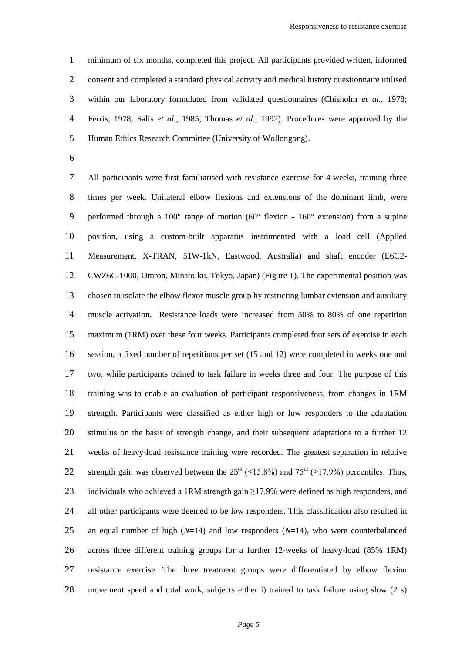minimum of six months, completed this project. All participants provided written, informed consent and completed a standard physical activity and medical history questionnaire utilised within our laboratory formulated from validated questionnaires (Chisholm *et al.*, 1978; Ferris, 1978; Salis *et al.*, 1985; Thomas *et al.*, 1992). Procedures were approved by the Human Ethics Research Committee (University of Wollongong).

 All participants were first familiarised with resistance exercise for 4-weeks, training three times per week. Unilateral elbow flexions and extensions of the dominant limb, were performed through a 100° range of motion (60° flexion - 160° extension) from a supine position, using a custom-built apparatus instrumented with a load cell (Applied Measurement, X-TRAN, 51W-1kN, Eastwood, Australia) and shaft encoder (E6C2- CWZ6C-1000, Omron, Minato-ku, Tokyo, Japan) (Figure 1). The experimental position was chosen to isolate the elbow flexor muscle group by restricting lumbar extension and auxiliary muscle activation. Resistance loads were increased from 50% to 80% of one repetition maximum (1RM) over these four weeks. Participants completed four sets of exercise in each session, a fixed number of repetitions per set (15 and 12) were completed in weeks one and two, while participants trained to task failure in weeks three and four. The purpose of this training was to enable an evaluation of participant responsiveness, from changes in 1RM strength. Participants were classified as either high or low responders to the adaptation stimulus on the basis of strength change, and their subsequent adaptations to a further 12 weeks of heavy-load resistance training were recorded. The greatest separation in relative 22 strength gain was observed between the  $25<sup>th</sup>$  (<15.8%) and  $75<sup>th</sup>$  (>17.9%) percentiles. Thus, 23 individuals who achieved a 1RM strength gain  $\geq$ 17.9% were defined as high responders, and all other participants were deemed to be low responders. This classification also resulted in an equal number of high (*N*=14) and low responders (*N*=14), who were counterbalanced across three different training groups for a further 12-weeks of heavy-load (85% 1RM) resistance exercise. The three treatment groups were differentiated by elbow flexion movement speed and total work, subjects either i) trained to task failure using slow (2 s)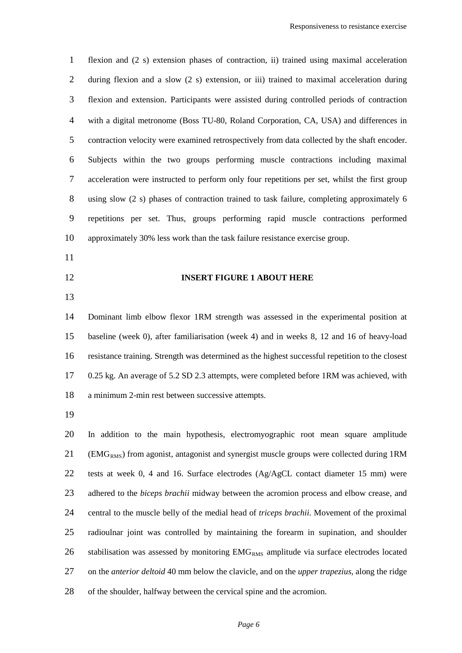flexion and (2 s) extension phases of contraction, ii) trained using maximal acceleration during flexion and a slow (2 s) extension, or iii) trained to maximal acceleration during flexion and extension. Participants were assisted during controlled periods of contraction with a digital metronome (Boss TU-80, Roland Corporation, CA, USA) and differences in contraction velocity were examined retrospectively from data collected by the shaft encoder. Subjects within the two groups performing muscle contractions including maximal acceleration were instructed to perform only four repetitions per set, whilst the first group using slow (2 s) phases of contraction trained to task failure, completing approximately 6 repetitions per set. Thus, groups performing rapid muscle contractions performed approximately 30% less work than the task failure resistance exercise group. 

- 
- 

#### **INSERT FIGURE 1 ABOUT HERE**

 Dominant limb elbow flexor 1RM strength was assessed in the experimental position at baseline (week 0), after familiarisation (week 4) and in weeks 8, 12 and 16 of heavy-load resistance training. Strength was determined as the highest successful repetition to the closest 0.25 kg. An average of 5.2 SD 2.3 attempts, were completed before 1RM was achieved, with a minimum 2-min rest between successive attempts.

 In addition to the main hypothesis, electromyographic root mean square amplitude (EMG<sub>RMS</sub>) from agonist, antagonist and synergist muscle groups were collected during 1RM tests at week 0, 4 and 16. Surface electrodes (Ag/AgCL contact diameter 15 mm) were adhered to the *biceps brachii* midway between the acromion process and elbow crease, and central to the muscle belly of the medial head of *triceps brachii*. Movement of the proximal radioulnar joint was controlled by maintaining the forearm in supination, and shoulder 26 stabilisation was assessed by monitoring EMG<sub>RMS</sub> amplitude via surface electrodes located on the *anterior deltoid* 40 mm below the clavicle, and on the *upper trapezius*, along the ridge of the shoulder, halfway between the cervical spine and the acromion.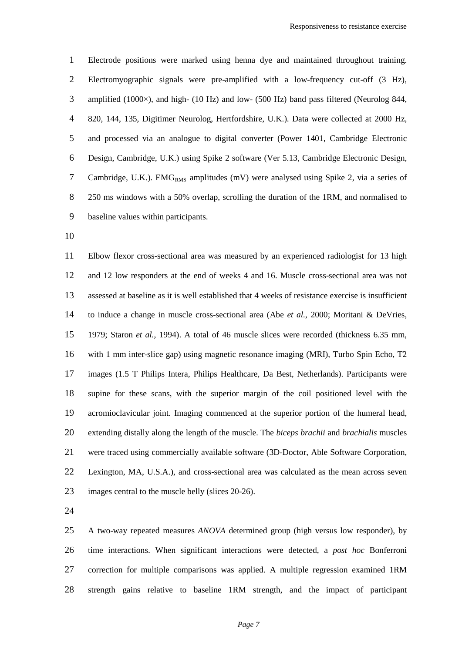Electrode positions were marked using henna dye and maintained throughout training. Electromyographic signals were pre-amplified with a low-frequency cut-off (3 Hz), amplified (1000×), and high- (10 Hz) and low- (500 Hz) band pass filtered (Neurolog 844, 820, 144, 135, Digitimer Neurolog, Hertfordshire, U.K.). Data were collected at 2000 Hz, and processed via an analogue to digital converter (Power 1401, Cambridge Electronic Design, Cambridge, U.K.) using Spike 2 software (Ver 5.13, Cambridge Electronic Design, 7 Cambridge, U.K.). EMG<sub>RMS</sub> amplitudes (mV) were analysed using Spike 2, via a series of 250 ms windows with a 50% overlap, scrolling the duration of the 1RM, and normalised to baseline values within participants.

 Elbow flexor cross-sectional area was measured by an experienced radiologist for 13 high and 12 low responders at the end of weeks 4 and 16. Muscle cross-sectional area was not assessed at baseline as it is well established that 4 weeks of resistance exercise is insufficient to induce a change in muscle cross-sectional area (Abe *et al.*, 2000; Moritani & DeVries, 1979; Staron *et al.*, 1994). A total of 46 muscle slices were recorded (thickness 6.35 mm, with 1 mm inter-slice gap) using magnetic resonance imaging (MRI), Turbo Spin Echo, T2 images (1.5 T Philips Intera, Philips Healthcare, Da Best, Netherlands). Participants were supine for these scans, with the superior margin of the coil positioned level with the acromioclavicular joint. Imaging commenced at the superior portion of the humeral head, extending distally along the length of the muscle. The *biceps brachii* and *brachialis* muscles were traced using commercially available software (3D-Doctor, Able Software Corporation, Lexington, MA, U.S.A.), and cross-sectional area was calculated as the mean across seven images central to the muscle belly (slices 20-26).

 A two-way repeated measures *ANOVA* determined group (high versus low responder), by time interactions. When significant interactions were detected, a *post hoc* Bonferroni correction for multiple comparisons was applied. A multiple regression examined 1RM strength gains relative to baseline 1RM strength, and the impact of participant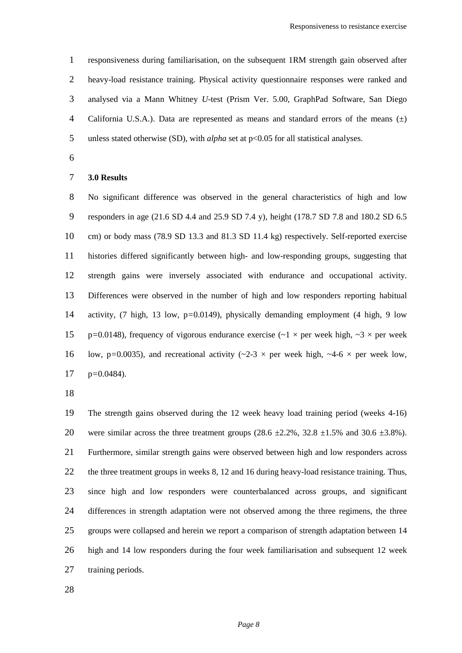responsiveness during familiarisation, on the subsequent 1RM strength gain observed after heavy-load resistance training. Physical activity questionnaire responses were ranked and analysed via a Mann Whitney *U*-test (Prism Ver. 5.00, GraphPad Software, San Diego 4 California U.S.A.). Data are represented as means and standard errors of the means  $(\pm)$ 5 unless stated otherwise (SD), with *alpha* set at p<0.05 for all statistical analyses.

#### **3.0 Results**

 No significant difference was observed in the general characteristics of high and low responders in age (21.6 SD 4.4 and 25.9 SD 7.4 y), height (178.7 SD 7.8 and 180.2 SD 6.5 cm) or body mass (78.9 SD 13.3 and 81.3 SD 11.4 kg) respectively. Self-reported exercise histories differed significantly between high- and low-responding groups, suggesting that strength gains were inversely associated with endurance and occupational activity. Differences were observed in the number of high and low responders reporting habitual activity, (7 high, 13 low, p*=*0.0149), physically demanding employment (4 high, 9 low 15 p=0.0148), frequency of vigorous endurance exercise ( $\sim$ 1  $\times$  per week high,  $\sim$ 3  $\times$  per week 16 low, p=0.0035), and recreational activity  $(-2-3 \times$  per week high,  $-4-6 \times$  per week low, p*=*0.0484).

 The strength gains observed during the 12 week heavy load training period (weeks 4-16) 20 were similar across the three treatment groups  $(28.6 \pm 2.2\% , 32.8 \pm 1.5\% )$  and  $(30.6 \pm 3.8\% )$ . Furthermore, similar strength gains were observed between high and low responders across the three treatment groups in weeks 8, 12 and 16 during heavy-load resistance training. Thus, since high and low responders were counterbalanced across groups, and significant differences in strength adaptation were not observed among the three regimens, the three groups were collapsed and herein we report a comparison of strength adaptation between 14 high and 14 low responders during the four week familiarisation and subsequent 12 week training periods.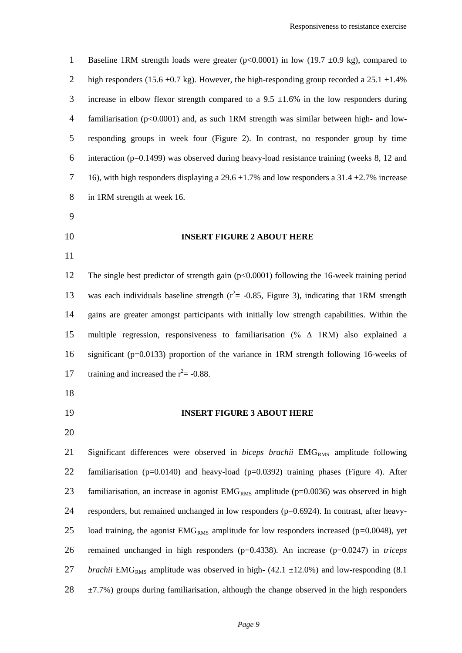| $\mathbf{1}$   | Baseline 1RM strength loads were greater ( $p<0.0001$ ) in low (19.7 ±0.9 kg), compared to                    |
|----------------|---------------------------------------------------------------------------------------------------------------|
| $\overline{2}$ | high responders (15.6 $\pm$ 0.7 kg). However, the high-responding group recorded a 25.1 $\pm$ 1.4%            |
| 3              | increase in elbow flexor strength compared to a 9.5 $\pm$ 1.6% in the low responders during                   |
| $\overline{4}$ | familiarisation ( $p<0.0001$ ) and, as such 1RM strength was similar between high- and low-                   |
| 5              | responding groups in week four (Figure 2). In contrast, no responder group by time                            |
| 6              | interaction ( $p=0.1499$ ) was observed during heavy-load resistance training (weeks 8, 12 and                |
| $\overline{7}$ | 16), with high responders displaying a 29.6 $\pm$ 1.7% and low responders a 31.4 $\pm$ 2.7% increase          |
| $8\,$          | in 1RM strength at week 16.                                                                                   |
| 9              |                                                                                                               |
| 10             | <b>INSERT FIGURE 2 ABOUT HERE</b>                                                                             |
| 11             |                                                                                                               |
| 12             | The single best predictor of strength gain $(p<0.0001)$ following the 16-week training period                 |
| 13             | was each individuals baseline strength ( $r^2$ = -0.85, Figure 3), indicating that 1RM strength               |
| 14             | gains are greater amongst participants with initially low strength capabilities. Within the                   |
| 15             | multiple regression, responsiveness to familiarisation (% $\Delta$ 1RM) also explained a                      |
| 16             | significant ( $p=0.0133$ ) proportion of the variance in 1RM strength following 16-weeks of                   |
| 17             | training and increased the $r^2$ = -0.88.                                                                     |
| 18             |                                                                                                               |
| 19             | <b>INSERT FIGURE 3 ABOUT HERE</b>                                                                             |
| 20             |                                                                                                               |
| 21             | Significant differences were observed in <i>biceps brachii</i> EMG <sub>RMS</sub> amplitude following         |
| 22             | familiarisation ( $p=0.0140$ ) and heavy-load ( $p=0.0392$ ) training phases (Figure 4). After                |
| 23             | familiarisation, an increase in agonist $EMGRMS$ amplitude ( $p=0.0036$ ) was observed in high                |
| 24             | responders, but remained unchanged in low responders (p=0.6924). In contrast, after heavy-                    |
| 25             | load training, the agonist $EMGRMS$ amplitude for low responders increased (p=0.0048), yet                    |
| 26             | remained unchanged in high responders ( $p=0.4338$ ). An increase ( $p=0.0247$ ) in <i>triceps</i>            |
| 27             | <i>brachii</i> EMG <sub>RMS</sub> amplitude was observed in high- (42.1 $\pm$ 12.0%) and low-responding (8.1) |

 $28 \pm 7.7$ %) groups during familiarisation, although the change observed in the high responders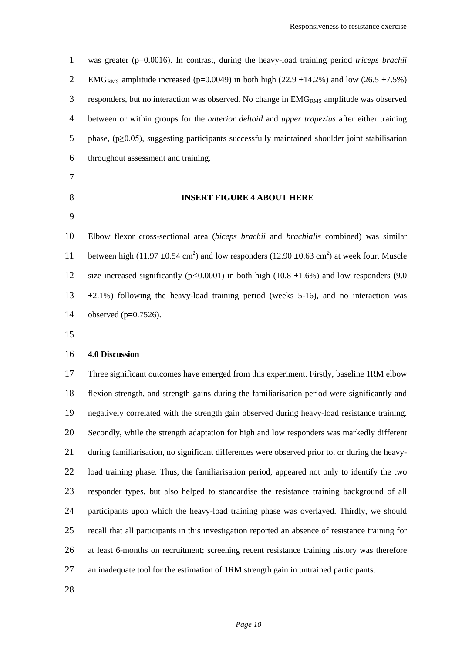was greater (p=0.0016). In contrast, during the heavy-load training period *triceps brachii*  2 EMG<sub>RMS</sub> amplitude increased (p=0.0049) in both high (22.9  $\pm$ 14.2%) and low (26.5  $\pm$ 7.5%) 3 responders, but no interaction was observed. No change in  $EMG<sub>RMS</sub>$  amplitude was observed between or within groups for the *anterior deltoid* and *upper trapezius* after either training phase, (p≥0.05), suggesting participants successfully maintained shoulder joint stabilisation throughout assessment and training. **INSERT FIGURE 4 ABOUT HERE** Elbow flexor cross-sectional area (*biceps brachii* and *brachialis* combined) was similar 11 between high (11.97  $\pm$ 0.54 cm<sup>2</sup>) and low responders (12.90  $\pm$ 0.63 cm<sup>2</sup>) at week four. Muscle size increased significantly (p*<*0.0001) in both high (10.8 ±1.6%) and low responders (9.0

 $13 \pm 2.1\%$ ) following the heavy-load training period (weeks 5-16), and no interaction was observed (p=0.7526).

#### **4.0 Discussion**

 Three significant outcomes have emerged from this experiment. Firstly, baseline 1RM elbow flexion strength, and strength gains during the familiarisation period were significantly and negatively correlated with the strength gain observed during heavy-load resistance training. Secondly, while the strength adaptation for high and low responders was markedly different during familiarisation, no significant differences were observed prior to, or during the heavy- load training phase. Thus, the familiarisation period, appeared not only to identify the two responder types, but also helped to standardise the resistance training background of all participants upon which the heavy-load training phase was overlayed. Thirdly, we should recall that all participants in this investigation reported an absence of resistance training for at least 6-months on recruitment; screening recent resistance training history was therefore an inadequate tool for the estimation of 1RM strength gain in untrained participants.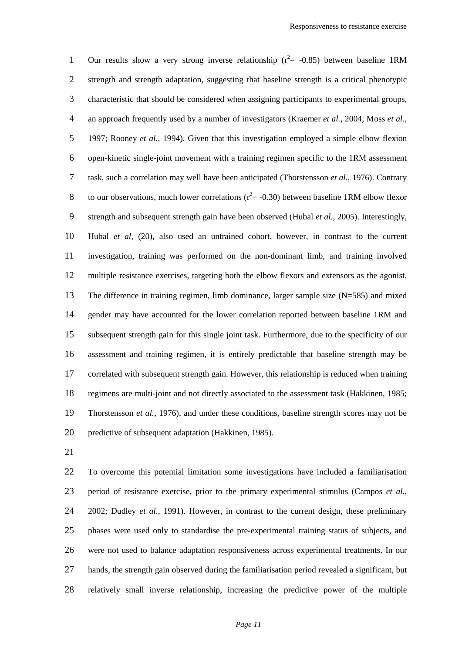1 Our results show a very strong inverse relationship ( $r^2$  = -0.85) between baseline 1RM strength and strength adaptation, suggesting that baseline strength is a critical phenotypic characteristic that should be considered when assigning participants to experimental groups, an approach frequently used by a number of investigators (Kraemer *et al.*, 2004; Moss *et al.*, 1997; Rooney *et al.*, 1994). Given that this investigation employed a simple elbow flexion open-kinetic single-joint movement with a training regimen specific to the 1RM assessment task, such a correlation may well have been anticipated (Thorstensson *et al.*, 1976). Contrary 8 to our observations, much lower correlations ( $r^2$  = -0.30) between baseline 1RM elbow flexor strength and subsequent strength gain have been observed (Hubal *et al.*, 2005). Interestingly, Hubal *et al,* (20), also used an untrained cohort, however, in contrast to the current investigation, training was performed on the non-dominant limb, and training involved multiple resistance exercises, targeting both the elbow flexors and extensors as the agonist. The difference in training regimen, limb dominance, larger sample size (N=585) and mixed gender may have accounted for the lower correlation reported between baseline 1RM and subsequent strength gain for this single joint task. Furthermore, due to the specificity of our assessment and training regimen, it is entirely predictable that baseline strength may be correlated with subsequent strength gain. However, this relationship is reduced when training regimens are multi-joint and not directly associated to the assessment task (Hakkinen, 1985; Thorstensson *et al.*, 1976), and under these conditions, baseline strength scores may not be predictive of subsequent adaptation (Hakkinen, 1985).

 To overcome this potential limitation some investigations have included a familiarisation period of resistance exercise, prior to the primary experimental stimulus (Campos *et al.*, 2002; Dudley *et al.*, 1991). However, in contrast to the current design, these preliminary phases were used only to standardise the pre-experimental training status of subjects, and were not used to balance adaptation responsiveness across experimental treatments. In our hands, the strength gain observed during the familiarisation period revealed a significant, but relatively small inverse relationship, increasing the predictive power of the multiple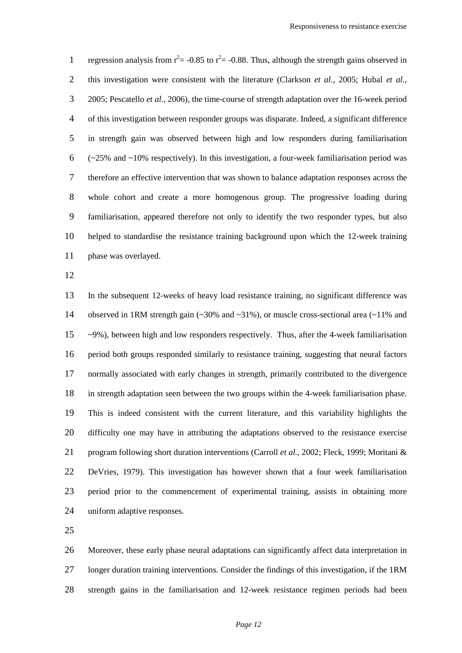1 regression analysis from  $r^2 = -0.85$  to  $r^2 = -0.88$ . Thus, although the strength gains observed in this investigation were consistent with the literature (Clarkson *et al.*, 2005; Hubal *et al.*, 2005; Pescatello *et al.*, 2006), the time-course of strength adaptation over the 16-week period of this investigation between responder groups was disparate. Indeed, a significant difference in strength gain was observed between high and low responders during familiarisation  $(-25\%$  and  $\sim$ 10% respectively). In this investigation, a four-week familiarisation period was therefore an effective intervention that was shown to balance adaptation responses across the whole cohort and create a more homogenous group. The progressive loading during familiarisation, appeared therefore not only to identify the two responder types, but also helped to standardise the resistance training background upon which the 12-week training phase was overlayed.

 In the subsequent 12-weeks of heavy load resistance training, no significant difference was observed in 1RM strength gain (~30% and ~31%), or muscle cross-sectional area (~11% and ~9%), between high and low responders respectively. Thus, after the 4-week familiarisation period both groups responded similarly to resistance training, suggesting that neural factors normally associated with early changes in strength, primarily contributed to the divergence in strength adaptation seen between the two groups within the 4-week familiarisation phase. This is indeed consistent with the current literature, and this variability highlights the difficulty one may have in attributing the adaptations observed to the resistance exercise program following short duration interventions (Carroll *et al.*, 2002; Fleck, 1999; Moritani & DeVries, 1979). This investigation has however shown that a four week familiarisation period prior to the commencement of experimental training, assists in obtaining more uniform adaptive responses.

 Moreover, these early phase neural adaptations can significantly affect data interpretation in longer duration training interventions. Consider the findings of this investigation, if the 1RM strength gains in the familiarisation and 12-week resistance regimen periods had been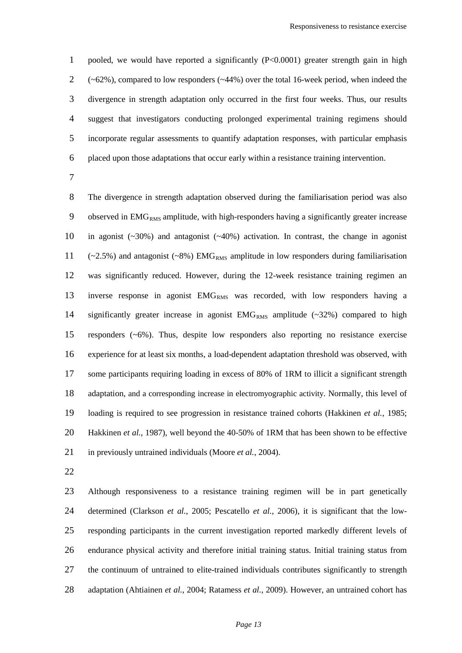pooled, we would have reported a significantly (P<0.0001) greater strength gain in high  $2 \left( \sim 62\% \right)$ , compared to low responders ( $\sim 44\%$ ) over the total 16-week period, when indeed the divergence in strength adaptation only occurred in the first four weeks. Thus, our results suggest that investigators conducting prolonged experimental training regimens should incorporate regular assessments to quantify adaptation responses, with particular emphasis placed upon those adaptations that occur early within a resistance training intervention.

 The divergence in strength adaptation observed during the familiarisation period was also 9 observed in  $EMG<sub>RMS</sub>$  amplitude, with high-responders having a significantly greater increase in agonist (~30%) and antagonist (~40%) activation. In contrast, the change in agonist  $(-2.5\%)$  and antagonist  $(-8\%)$  EMG<sub>RMS</sub> amplitude in low responders during familiarisation was significantly reduced. However, during the 12-week resistance training regimen an 13 inverse response in agonist EMG<sub>RMS</sub> was recorded, with low responders having a 14 significantly greater increase in agonist  $EMG<sub>RMS</sub>$  amplitude (~32%) compared to high responders (~6%). Thus, despite low responders also reporting no resistance exercise experience for at least six months, a load-dependent adaptation threshold was observed, with some participants requiring loading in excess of 80% of 1RM to illicit a significant strength adaptation, and a corresponding increase in electromyographic activity. Normally, this level of loading is required to see progression in resistance trained cohorts (Hakkinen *et al.*, 1985; Hakkinen *et al.*, 1987), well beyond the 40-50% of 1RM that has been shown to be effective in previously untrained individuals (Moore *et al.*, 2004).

 Although responsiveness to a resistance training regimen will be in part genetically determined (Clarkson *et al.*, 2005; Pescatello *et al.*, 2006), it is significant that the low- responding participants in the current investigation reported markedly different levels of endurance physical activity and therefore initial training status. Initial training status from the continuum of untrained to elite-trained individuals contributes significantly to strength adaptation (Ahtiainen *et al.*, 2004; Ratamess *et al.*, 2009). However, an untrained cohort has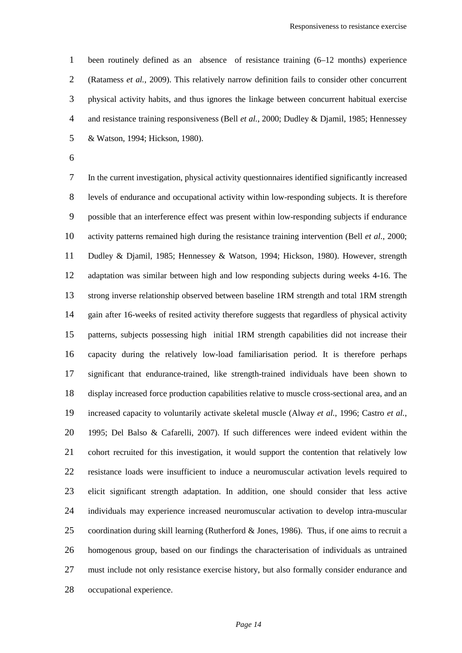been routinely defined as an absence of resistance training (6–12 months) experience (Ratamess *et al.*, 2009). This relatively narrow definition fails to consider other concurrent physical activity habits, and thus ignores the linkage between concurrent habitual exercise and resistance training responsiveness (Bell *et al.*, 2000; Dudley & Djamil, 1985; Hennessey & Watson, 1994; Hickson, 1980).

 In the current investigation, physical activity questionnaires identified significantly increased levels of endurance and occupational activity within low-responding subjects. It is therefore possible that an interference effect was present within low-responding subjects if endurance activity patterns remained high during the resistance training intervention (Bell *et al.*, 2000; Dudley & Djamil, 1985; Hennessey & Watson, 1994; Hickson, 1980). However, strength adaptation was similar between high and low responding subjects during weeks 4-16. The strong inverse relationship observed between baseline 1RM strength and total 1RM strength gain after 16-weeks of resited activity therefore suggests that regardless of physical activity patterns, subjects possessing high initial 1RM strength capabilities did not increase their capacity during the relatively low-load familiarisation period. It is therefore perhaps significant that endurance-trained, like strength-trained individuals have been shown to display increased force production capabilities relative to muscle cross-sectional area, and an increased capacity to voluntarily activate skeletal muscle (Alway *et al.*, 1996; Castro *et al.*, 1995; Del Balso & Cafarelli, 2007). If such differences were indeed evident within the cohort recruited for this investigation, it would support the contention that relatively low resistance loads were insufficient to induce a neuromuscular activation levels required to elicit significant strength adaptation. In addition, one should consider that less active individuals may experience increased neuromuscular activation to develop intra-muscular coordination during skill learning (Rutherford & Jones, 1986). Thus, if one aims to recruit a homogenous group, based on our findings the characterisation of individuals as untrained must include not only resistance exercise history, but also formally consider endurance and occupational experience.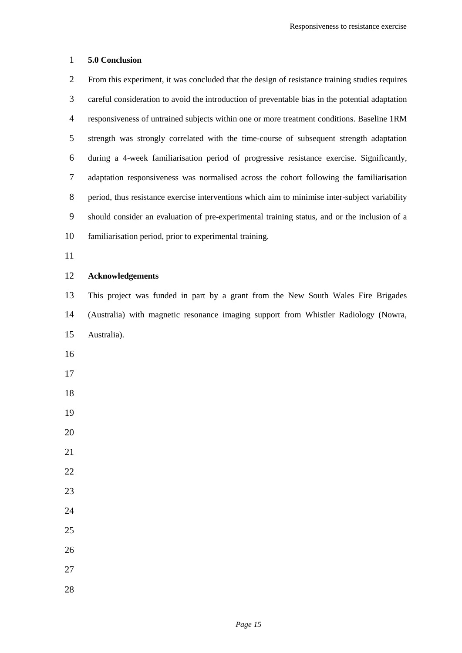#### **5.0 Conclusion**

 From this experiment, it was concluded that the design of resistance training studies requires careful consideration to avoid the introduction of preventable bias in the potential adaptation responsiveness of untrained subjects within one or more treatment conditions. Baseline 1RM strength was strongly correlated with the time-course of subsequent strength adaptation during a 4-week familiarisation period of progressive resistance exercise. Significantly, adaptation responsiveness was normalised across the cohort following the familiarisation period, thus resistance exercise interventions which aim to minimise inter-subject variability should consider an evaluation of pre-experimental training status, and or the inclusion of a familiarisation period, prior to experimental training.

#### **Acknowledgements**

 This project was funded in part by a grant from the New South Wales Fire Brigades (Australia) with magnetic resonance imaging support from Whistler Radiology (Nowra, Australia).

- 
- 
- 
- 
- 
- 
- 
- 
- 
- 
- 
- 
-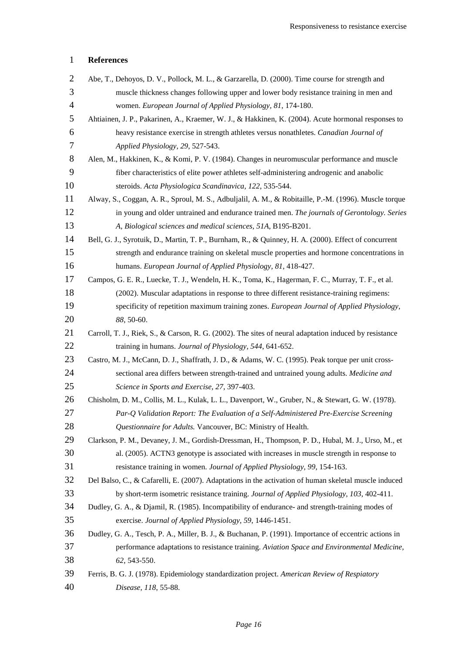## **References**

| $\overline{2}$ | Abe, T., Dehoyos, D. V., Pollock, M. L., & Garzarella, D. (2000). Time course for strength and         |
|----------------|--------------------------------------------------------------------------------------------------------|
| 3              | muscle thickness changes following upper and lower body resistance training in men and                 |
| $\overline{4}$ | women. European Journal of Applied Physiology, 81, 174-180.                                            |
| 5              | Ahtiainen, J. P., Pakarinen, A., Kraemer, W. J., & Hakkinen, K. (2004). Acute hormonal responses to    |
| 6              | heavy resistance exercise in strength athletes versus nonathletes. Canadian Journal of                 |
| 7              | Applied Physiology, 29, 527-543.                                                                       |
| 8              | Alen, M., Hakkinen, K., & Komi, P. V. (1984). Changes in neuromuscular performance and muscle          |
| 9              | fiber characteristics of elite power athletes self-administering androgenic and anabolic               |
| 10             | steroids. Acta Physiologica Scandinavica, 122, 535-544.                                                |
| 11             | Alway, S., Coggan, A. R., Sproul, M. S., Adbuljalil, A. M., & Robitaille, P.-M. (1996). Muscle torque  |
| 12             | in young and older untrained and endurance trained men. The journals of Gerontology. Series            |
| 13             | A, Biological sciences and medical sciences, 51A, B195-B201.                                           |
| 14             | Bell, G. J., Syrotuik, D., Martin, T. P., Burnham, R., & Quinney, H. A. (2000). Effect of concurrent   |
| 15             | strength and endurance training on skeletal muscle properties and hormone concentrations in            |
| 16             | humans. European Journal of Applied Physiology, 81, 418-427.                                           |
| 17             | Campos, G. E. R., Luecke, T. J., Wendeln, H. K., Toma, K., Hagerman, F. C., Murray, T. F., et al.      |
| 18             | (2002). Muscular adaptations in response to three different resistance-training regimens:              |
| 19             | specificity of repetition maximum training zones. European Journal of Applied Physiology,              |
| 20             | 88, 50-60.                                                                                             |
| 21             | Carroll, T. J., Riek, S., & Carson, R. G. (2002). The sites of neural adaptation induced by resistance |
| 22             | training in humans. Journal of Physiology, 544, 641-652.                                               |
| 23             | Castro, M. J., McCann, D. J., Shaffrath, J. D., & Adams, W. C. (1995). Peak torque per unit cross-     |
| 24             | sectional area differs between strength-trained and untrained young adults. Medicine and               |
| 25             | Science in Sports and Exercise, 27, 397-403.                                                           |
| 26             | Chisholm, D. M., Collis, M. L., Kulak, L. L., Davenport, W., Gruber, N., & Stewart, G. W. (1978).      |
| 27             | Par-Q Validation Report: The Evaluation of a Self-Administered Pre-Exercise Screening                  |
| 28             | Questionnaire for Adults. Vancouver, BC: Ministry of Health.                                           |
| 29             | Clarkson, P. M., Devaney, J. M., Gordish-Dressman, H., Thompson, P. D., Hubal, M. J., Urso, M., et     |
| 30             | al. (2005). ACTN3 genotype is associated with increases in muscle strength in response to              |
| 31             | resistance training in women. Journal of Applied Physiology, 99, 154-163.                              |
| 32             | Del Balso, C., & Cafarelli, E. (2007). Adaptations in the activation of human skeletal muscle induced  |
| 33             | by short-term isometric resistance training. Journal of Applied Physiology, 103, 402-411.              |
| 34             | Dudley, G. A., & Djamil, R. (1985). Incompatibility of endurance- and strength-training modes of       |
| 35             | exercise. Journal of Applied Physiology, 59, 1446-1451.                                                |
| 36             | Dudley, G. A., Tesch, P. A., Miller, B. J., & Buchanan, P. (1991). Importance of eccentric actions in  |
| 37             | performance adaptations to resistance training. Aviation Space and Environmental Medicine,             |
| 38             | 62, 543-550.                                                                                           |
| 39             | Ferris, B. G. J. (1978). Epidemiology standardization project. American Review of Respiatory           |
| 40             | Disease, 118, 55-88.                                                                                   |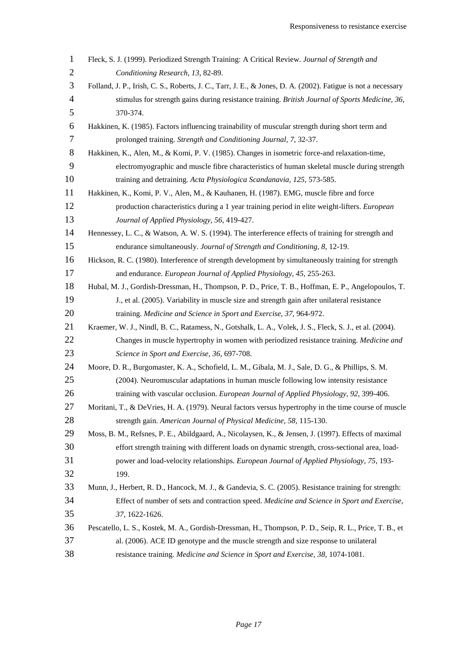| $\mathbf{1}$   | Fleck, S. J. (1999). Periodized Strength Training: A Critical Review. Journal of Strength and                |
|----------------|--------------------------------------------------------------------------------------------------------------|
| $\mathbf{2}$   | Conditioning Research, 13, 82-89.                                                                            |
| 3              | Folland, J. P., Irish, C. S., Roberts, J. C., Tarr, J. E., & Jones, D. A. (2002). Fatigue is not a necessary |
| $\overline{4}$ | stimulus for strength gains during resistance training. British Journal of Sports Medicine, 36,              |
| 5              | 370-374.                                                                                                     |
| 6              | Hakkinen, K. (1985). Factors influencing trainability of muscular strength during short term and             |
| $\overline{7}$ | prolonged training. Strength and Conditioning Journal, 7, 32-37.                                             |
| 8              | Hakkinen, K., Alen, M., & Komi, P. V. (1985). Changes in isometric force-and relaxation-time,                |
| 9              | electromyographic and muscle fibre characteristics of human skeletal muscle during strength                  |
| 10             | training and detraining. Acta Physiologica Scandanavia, 125, 573-585.                                        |
| 11             | Hakkinen, K., Komi, P. V., Alen, M., & Kauhanen, H. (1987). EMG, muscle fibre and force                      |
| 12             | production characteristics during a 1 year training period in elite weight-lifters. <i>European</i>          |
| 13             | Journal of Applied Physiology, 56, 419-427.                                                                  |
| 14             | Hennessey, L. C., & Watson, A. W. S. (1994). The interference effects of training for strength and           |
| 15             | endurance simultaneously. Journal of Strength and Conditioning, 8, 12-19.                                    |
| 16             | Hickson, R. C. (1980). Interference of strength development by simultaneously training for strength          |
| 17             | and endurance. European Journal of Applied Physiology, 45, 255-263.                                          |
| 18             | Hubal, M. J., Gordish-Dressman, H., Thompson, P. D., Price, T. B., Hoffman, E. P., Angelopoulos, T.          |
| 19             | J., et al. (2005). Variability in muscle size and strength gain after unilateral resistance                  |
| 20             | training. Medicine and Science in Sport and Exercise, 37, 964-972.                                           |
| 21             | Kraemer, W. J., Nindl, B. C., Ratamess, N., Gotshalk, L. A., Volek, J. S., Fleck, S. J., et al. (2004).      |
| 22             | Changes in muscle hypertrophy in women with periodized resistance training. Medicine and                     |
| 23             | Science in Sport and Exercise, 36, 697-708.                                                                  |
| 24             | Moore, D. R., Burgomaster, K. A., Schofield, L. M., Gibala, M. J., Sale, D. G., & Phillips, S. M.            |
| 25             | (2004). Neuromuscular adaptations in human muscle following low intensity resistance                         |
| 26             | training with vascular occlusion. European Journal of Applied Physiology, 92, 399-406.                       |
| 27             | Moritani, T., & DeVries, H. A. (1979). Neural factors versus hypertrophy in the time course of muscle        |
| 28             | strength gain. American Journal of Physical Medicine, 58, 115-130.                                           |
| 29             | Moss, B. M., Refsnes, P. E., Abildgaard, A., Nicolaysen, K., & Jensen, J. (1997). Effects of maximal         |
| 30             | effort strength training with different loads on dynamic strength, cross-sectional area, load-               |
| 31             | power and load-velocity relationships. European Journal of Applied Physiology, 75, 193-                      |
| 32             | 199.                                                                                                         |
| 33             | Munn, J., Herbert, R. D., Hancock, M. J., & Gandevia, S. C. (2005). Resistance training for strength:        |
| 34             | Effect of number of sets and contraction speed. Medicine and Science in Sport and Exercise,                  |
| 35             | 37, 1622-1626.                                                                                               |
| 36             | Pescatello, L. S., Kostek, M. A., Gordish-Dressman, H., Thompson, P. D., Seip, R. L., Price, T. B., et       |
| 37             | al. (2006). ACE ID genotype and the muscle strength and size response to unilateral                          |
| 38             | resistance training. Medicine and Science in Sport and Exercise, 38, 1074-1081.                              |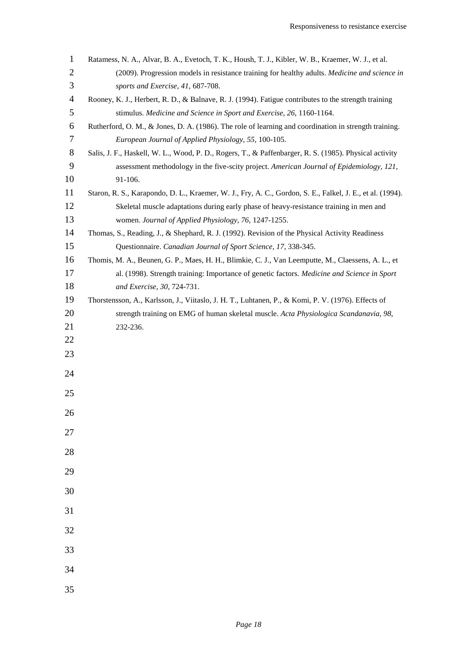| $\mathbf{1}$   | Ratamess, N. A., Alvar, B. A., Evetoch, T. K., Housh, T. J., Kibler, W. B., Kraemer, W. J., et al.        |
|----------------|-----------------------------------------------------------------------------------------------------------|
| $\mathbf{2}$   | (2009). Progression models in resistance training for healthy adults. Medicine and science in             |
| $\mathfrak{Z}$ | sports and Exercise, 41, 687-708.                                                                         |
| $\overline{4}$ | Rooney, K. J., Herbert, R. D., & Balnave, R. J. (1994). Fatigue contributes to the strength training      |
| 5              | stimulus. Medicine and Science in Sport and Exercise, 26, 1160-1164.                                      |
| 6              | Rutherford, O. M., & Jones, D. A. (1986). The role of learning and coordination in strength training.     |
| $\tau$         | European Journal of Applied Physiology, 55, 100-105.                                                      |
| $8\,$          | Salis, J. F., Haskell, W. L., Wood, P. D., Rogers, T., & Paffenbarger, R. S. (1985). Physical activity    |
| 9              | assessment methodology in the five-scity project. American Journal of Epidemiology, 121,                  |
| 10             | 91-106.                                                                                                   |
| 11             | Staron, R. S., Karapondo, D. L., Kraemer, W. J., Fry, A. C., Gordon, S. E., Falkel, J. E., et al. (1994). |
| 12             | Skeletal muscle adaptations during early phase of heavy-resistance training in men and                    |
| 13             | women. Journal of Applied Physiology, 76, 1247-1255.                                                      |
| 14             | Thomas, S., Reading, J., & Shephard, R. J. (1992). Revision of the Physical Activity Readiness            |
| 15             | Questionnaire. Canadian Journal of Sport Science, 17, 338-345.                                            |
| 16             | Thomis, M. A., Beunen, G. P., Maes, H. H., Blimkie, C. J., Van Leemputte, M., Claessens, A. L., et        |
| 17             | al. (1998). Strength training: Importance of genetic factors. Medicine and Science in Sport               |
| 18             | and Exercise, 30, 724-731.                                                                                |
| 19             | Thorstensson, A., Karlsson, J., Viitaslo, J. H. T., Luhtanen, P., & Komi, P. V. (1976). Effects of        |
| 20             | strength training on EMG of human skeletal muscle. Acta Physiologica Scandanavia, 98,                     |
| 21             | 232-236.                                                                                                  |
| 22             |                                                                                                           |
| 23             |                                                                                                           |
| 24             |                                                                                                           |
|                |                                                                                                           |
| 25             |                                                                                                           |
| 26             |                                                                                                           |
| 27             |                                                                                                           |
|                |                                                                                                           |
| 28             |                                                                                                           |
| 29             |                                                                                                           |
|                |                                                                                                           |
| 30             |                                                                                                           |
| 31             |                                                                                                           |
|                |                                                                                                           |
| 32             |                                                                                                           |
| 33             |                                                                                                           |
| 34             |                                                                                                           |
|                |                                                                                                           |
| 35             |                                                                                                           |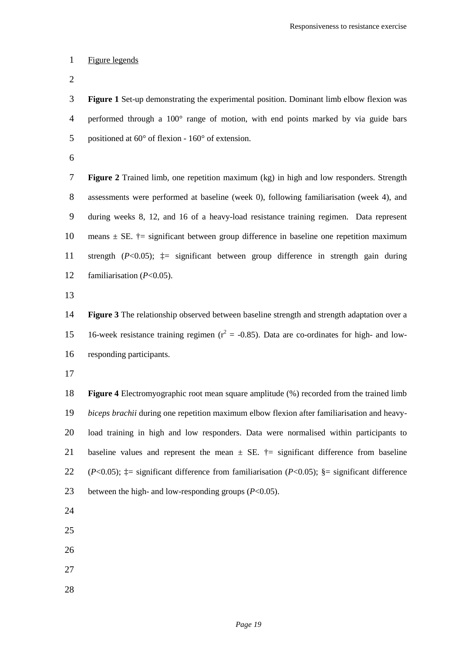#### Figure legends

 **Figure 1** Set-up demonstrating the experimental position. Dominant limb elbow flexion was performed through a 100° range of motion, with end points marked by via guide bars positioned at 60° of flexion - 160° of extension.

 **Figure 2** Trained limb, one repetition maximum (kg) in high and low responders. Strength assessments were performed at baseline (week 0), following familiarisation (week 4), and during weeks 8, 12, and 16 of a heavy-load resistance training regimen. Data represent 10 means  $\pm$  SE.  $\dagger$  = significant between group difference in baseline one repetition maximum strength (*P*<0.05); ‡= significant between group difference in strength gain during familiarisation (*P*<0.05).

 **Figure 3** The relationship observed between baseline strength and strength adaptation over a 15 = 16-week resistance training regimen ( $r^2 = -0.85$ ). Data are co-ordinates for high- and low-responding participants.

 **Figure 4** Electromyographic root mean square amplitude (%) recorded from the trained limb *biceps brachii* during one repetition maximum elbow flexion after familiarisation and heavy- load training in high and low responders. Data were normalised within participants to 21 baseline values and represent the mean  $\pm$  SE.  $\dagger$  = significant difference from baseline (*P*<0.05); ‡= significant difference from familiarisation (*P*<0.05); §= significant difference between the high- and low-responding groups (*P*<0.05).

- 
- 
- 
- 
-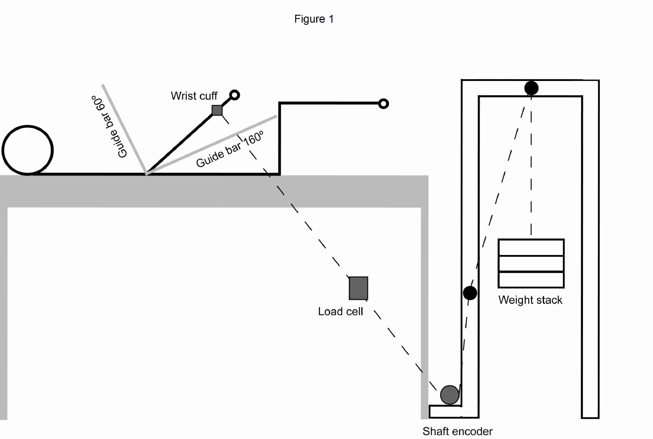

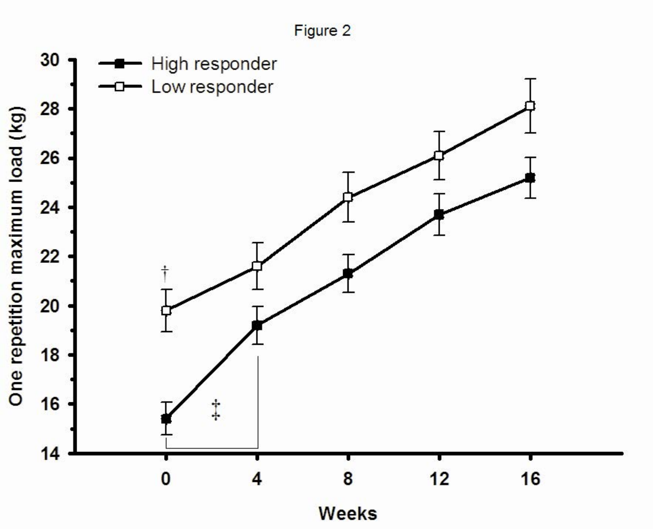Figure 2

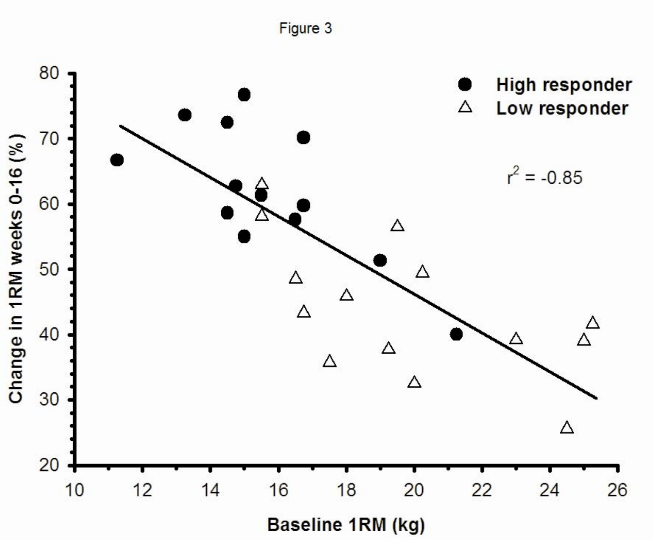

Figure 3